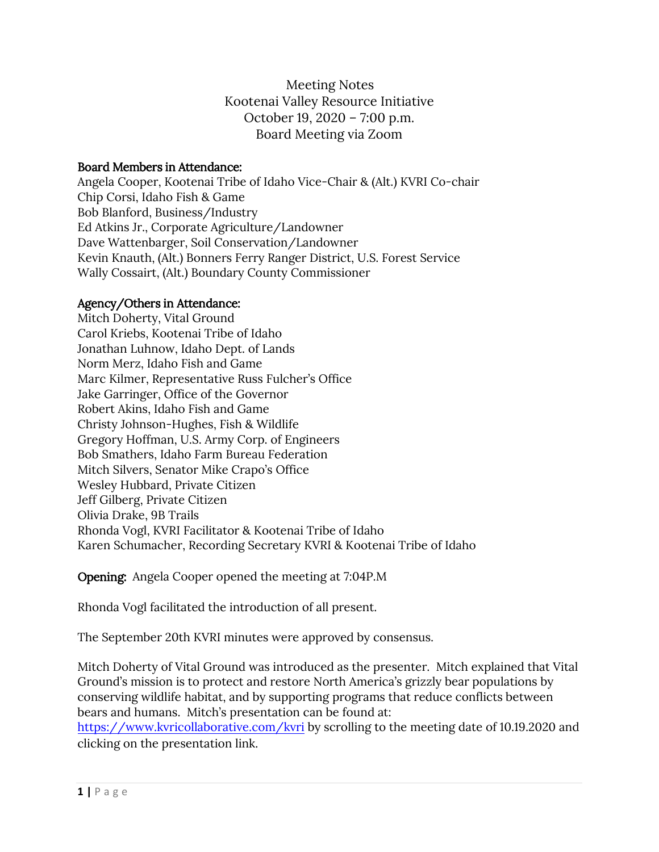Meeting Notes Kootenai Valley Resource Initiative October 19, 2020 – 7:00 p.m. Board Meeting via Zoom

#### Board Members in Attendance:

Angela Cooper, Kootenai Tribe of Idaho Vice-Chair & (Alt.) KVRI Co-chair Chip Corsi, Idaho Fish & Game Bob Blanford, Business/Industry Ed Atkins Jr., Corporate Agriculture/Landowner Dave Wattenbarger, Soil Conservation/Landowner Kevin Knauth, (Alt.) Bonners Ferry Ranger District, U.S. Forest Service Wally Cossairt, (Alt.) Boundary County Commissioner

## Agency/Others in Attendance:

Mitch Doherty, Vital Ground Carol Kriebs, Kootenai Tribe of Idaho Jonathan Luhnow, Idaho Dept. of Lands Norm Merz, Idaho Fish and Game Marc Kilmer, Representative Russ Fulcher's Office Jake Garringer, Office of the Governor Robert Akins, Idaho Fish and Game Christy Johnson-Hughes, Fish & Wildlife Gregory Hoffman, U.S. Army Corp. of Engineers Bob Smathers, Idaho Farm Bureau Federation Mitch Silvers, Senator Mike Crapo's Office Wesley Hubbard, Private Citizen Jeff Gilberg, Private Citizen Olivia Drake, 9B Trails Rhonda Vogl, KVRI Facilitator & Kootenai Tribe of Idaho Karen Schumacher, Recording Secretary KVRI & Kootenai Tribe of Idaho

Opening: Angela Cooper opened the meeting at 7:04P.M

Rhonda Vogl facilitated the introduction of all present.

The September 20th KVRI minutes were approved by consensus.

Mitch Doherty of Vital Ground was introduced as the presenter. Mitch explained that Vital Ground's mission is to protect and restore North America's grizzly bear populations by conserving wildlife habitat, and by supporting programs that reduce conflicts between bears and humans. Mitch's presentation can be found at:

<https://www.kvricollaborative.com/kvri> by scrolling to the meeting date of 10.19.2020 and clicking on the presentation link.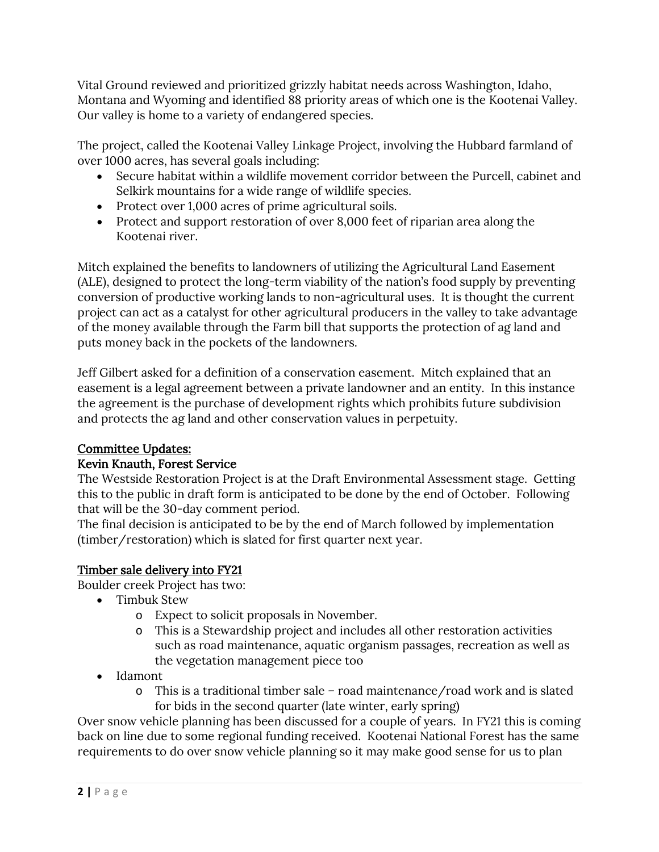Vital Ground reviewed and prioritized grizzly habitat needs across Washington, Idaho, Montana and Wyoming and identified 88 priority areas of which one is the Kootenai Valley. Our valley is home to a variety of endangered species.

The project, called the Kootenai Valley Linkage Project, involving the Hubbard farmland of over 1000 acres, has several goals including:

- Secure habitat within a wildlife movement corridor between the Purcell, cabinet and Selkirk mountains for a wide range of wildlife species.
- Protect over 1,000 acres of prime agricultural soils.
- Protect and support restoration of over 8,000 feet of riparian area along the Kootenai river.

Mitch explained the benefits to landowners of utilizing the Agricultural Land Easement (ALE), designed to protect the long-term viability of the nation's food supply by preventing conversion of productive working lands to non-agricultural uses. It is thought the current project can act as a catalyst for other agricultural producers in the valley to take advantage of the money available through the Farm bill that supports the protection of ag land and puts money back in the pockets of the landowners.

Jeff Gilbert asked for a definition of a conservation easement. Mitch explained that an easement is a legal agreement between a private landowner and an entity. In this instance the agreement is the purchase of development rights which prohibits future subdivision and protects the ag land and other conservation values in perpetuity.

# Committee Updates:

# Kevin Knauth, Forest Service

The Westside Restoration Project is at the Draft Environmental Assessment stage. Getting this to the public in draft form is anticipated to be done by the end of October. Following that will be the 30-day comment period.

The final decision is anticipated to be by the end of March followed by implementation (timber/restoration) which is slated for first quarter next year.

# Timber sale delivery into FY21

Boulder creek Project has two:

- Timbuk Stew
	- o Expect to solicit proposals in November.
	- o This is a Stewardship project and includes all other restoration activities such as road maintenance, aquatic organism passages, recreation as well as the vegetation management piece too
- Idamont
	- o This is a traditional timber sale road maintenance/road work and is slated for bids in the second quarter (late winter, early spring)

Over snow vehicle planning has been discussed for a couple of years. In FY21 this is coming back on line due to some regional funding received. Kootenai National Forest has the same requirements to do over snow vehicle planning so it may make good sense for us to plan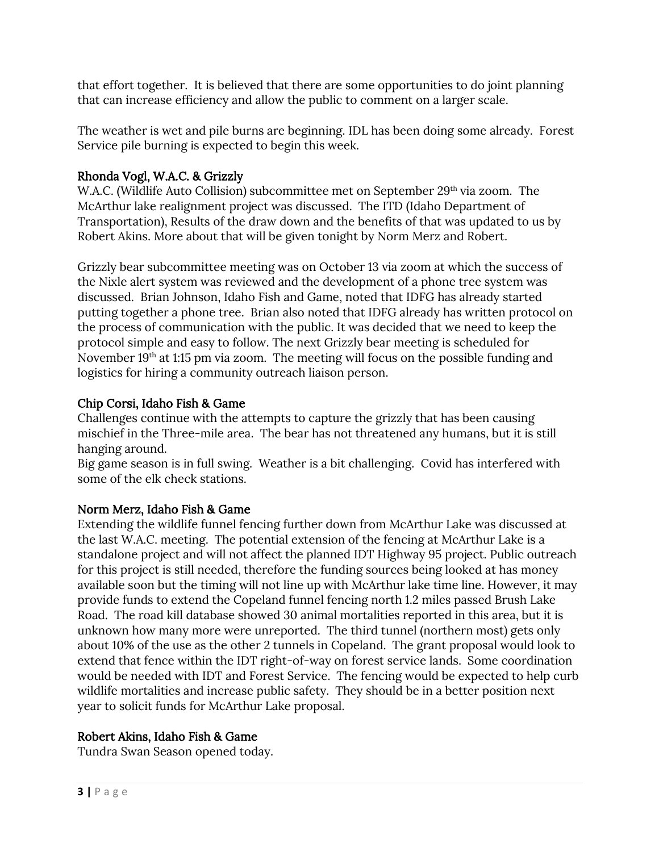that effort together. It is believed that there are some opportunities to do joint planning that can increase efficiency and allow the public to comment on a larger scale.

The weather is wet and pile burns are beginning. IDL has been doing some already. Forest Service pile burning is expected to begin this week.

# Rhonda Vogl, W.A.C. & Grizzly

W.A.C. (Wildlife Auto Collision) subcommittee met on September 29<sup>th</sup> via zoom. The McArthur lake realignment project was discussed. The ITD (Idaho Department of Transportation), Results of the draw down and the benefits of that was updated to us by Robert Akins. More about that will be given tonight by Norm Merz and Robert.

Grizzly bear subcommittee meeting was on October 13 via zoom at which the success of the Nixle alert system was reviewed and the development of a phone tree system was discussed. Brian Johnson, Idaho Fish and Game, noted that IDFG has already started putting together a phone tree. Brian also noted that IDFG already has written protocol on the process of communication with the public. It was decided that we need to keep the protocol simple and easy to follow. The next Grizzly bear meeting is scheduled for November 19th at 1:15 pm via zoom. The meeting will focus on the possible funding and logistics for hiring a community outreach liaison person.

## Chip Corsi, Idaho Fish & Game

Challenges continue with the attempts to capture the grizzly that has been causing mischief in the Three-mile area. The bear has not threatened any humans, but it is still hanging around.

Big game season is in full swing. Weather is a bit challenging. Covid has interfered with some of the elk check stations.

#### Norm Merz, Idaho Fish & Game

Extending the wildlife funnel fencing further down from McArthur Lake was discussed at the last W.A.C. meeting. The potential extension of the fencing at McArthur Lake is a standalone project and will not affect the planned IDT Highway 95 project. Public outreach for this project is still needed, therefore the funding sources being looked at has money available soon but the timing will not line up with McArthur lake time line. However, it may provide funds to extend the Copeland funnel fencing north 1.2 miles passed Brush Lake Road. The road kill database showed 30 animal mortalities reported in this area, but it is unknown how many more were unreported. The third tunnel (northern most) gets only about 10% of the use as the other 2 tunnels in Copeland. The grant proposal would look to extend that fence within the IDT right-of-way on forest service lands. Some coordination would be needed with IDT and Forest Service. The fencing would be expected to help curb wildlife mortalities and increase public safety. They should be in a better position next year to solicit funds for McArthur Lake proposal.

#### Robert Akins, Idaho Fish & Game

Tundra Swan Season opened today.